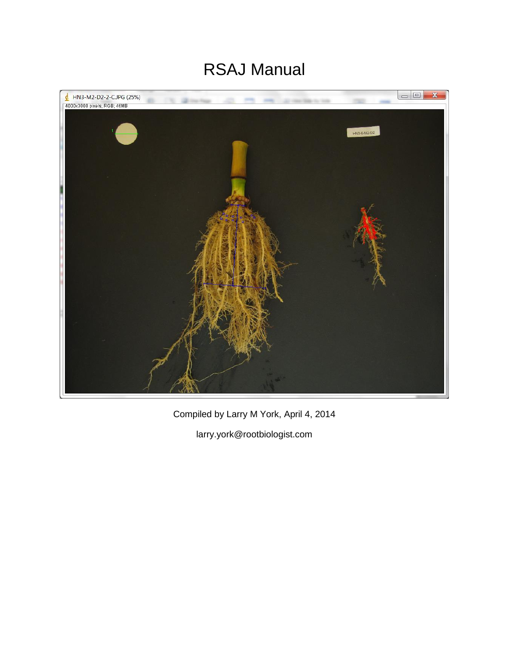# RSAJ Manual



Compiled by Larry M York, April 4, 2014

larry.york@rootbiologist.com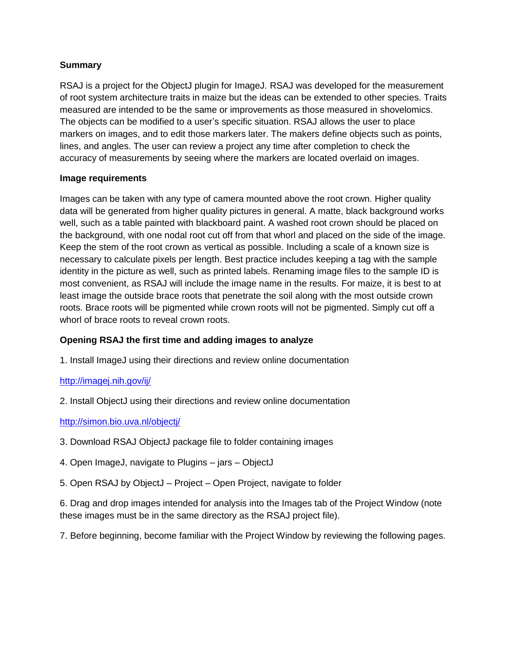## **Summary**

RSAJ is a project for the ObjectJ plugin for ImageJ. RSAJ was developed for the measurement of root system architecture traits in maize but the ideas can be extended to other species. Traits measured are intended to be the same or improvements as those measured in shovelomics. The objects can be modified to a user's specific situation. RSAJ allows the user to place markers on images, and to edit those markers later. The makers define objects such as points, lines, and angles. The user can review a project any time after completion to check the accuracy of measurements by seeing where the markers are located overlaid on images.

#### **Image requirements**

Images can be taken with any type of camera mounted above the root crown. Higher quality data will be generated from higher quality pictures in general. A matte, black background works well, such as a table painted with blackboard paint. A washed root crown should be placed on the background, with one nodal root cut off from that whorl and placed on the side of the image. Keep the stem of the root crown as vertical as possible. Including a scale of a known size is necessary to calculate pixels per length. Best practice includes keeping a tag with the sample identity in the picture as well, such as printed labels. Renaming image files to the sample ID is most convenient, as RSAJ will include the image name in the results. For maize, it is best to at least image the outside brace roots that penetrate the soil along with the most outside crown roots. Brace roots will be pigmented while crown roots will not be pigmented. Simply cut off a whorl of brace roots to reveal crown roots.

# **Opening RSAJ the first time and adding images to analyze**

1. Install ImageJ using their directions and review online documentation

# <http://imagej.nih.gov/ij/>

2. Install ObjectJ using their directions and review online documentation

#### <http://simon.bio.uva.nl/objectj/>

- 3. Download RSAJ ObjectJ package file to folder containing images
- 4. Open ImageJ, navigate to Plugins jars ObjectJ
- 5. Open RSAJ by ObjectJ Project Open Project, navigate to folder

6. Drag and drop images intended for analysis into the Images tab of the Project Window (note these images must be in the same directory as the RSAJ project file).

7. Before beginning, become familiar with the Project Window by reviewing the following pages.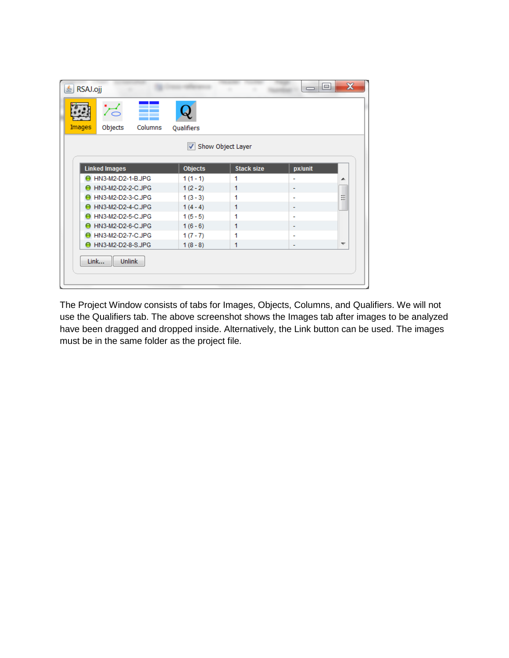|                        | z                    |         |                      |                   |                          |                          |
|------------------------|----------------------|---------|----------------------|-------------------|--------------------------|--------------------------|
| Images                 | Objects              | Columns | Qualifiers           |                   |                          |                          |
|                        |                      |         | $\blacktriangledown$ | Show Object Layer |                          |                          |
|                        | <b>Linked Images</b> |         | <b>Objects</b>       | <b>Stack size</b> | px/unit                  |                          |
|                        | ● HN3-M2-D2-1-B.JPG  |         | $1(1-1)$             | 1                 | ÷                        | ▴                        |
| ● HN3-M2-D2-2-C.JPG    |                      |         | $1(2-2)$             | 1                 | ۰                        |                          |
|                        | ● HN3-M2-D2-3-C.JPG  |         | $1(3-3)$             | 1                 | ۰                        | Ξ                        |
| ● HN3-M2-D2-4-C.JPG    |                      |         | $1(4-4)$             | 1                 | ۰                        |                          |
| ● HN3-M2-D2-5-C.JPG    |                      |         | $1(5-5)$             | 1                 | ۰                        |                          |
| HN3-M2-D2-6-C.JPG      |                      |         | $1(6-6)$             | 1                 | ۰                        |                          |
| HN3-M2-D2-7-C.JPG<br>0 |                      |         | $1(7-7)$             | 1                 | ÷                        |                          |
| ● HN3-M2-D2-8-S.JPG    |                      |         | $1(8-8)$             | 1                 | $\overline{\phantom{a}}$ | $\overline{\phantom{a}}$ |
| Link                   | <b>Unlink</b>        |         |                      |                   |                          |                          |

The Project Window consists of tabs for Images, Objects, Columns, and Qualifiers. We will not use the Qualifiers tab. The above screenshot shows the Images tab after images to be analyzed have been dragged and dropped inside. Alternatively, the Link button can be used. The images must be in the same folder as the project file.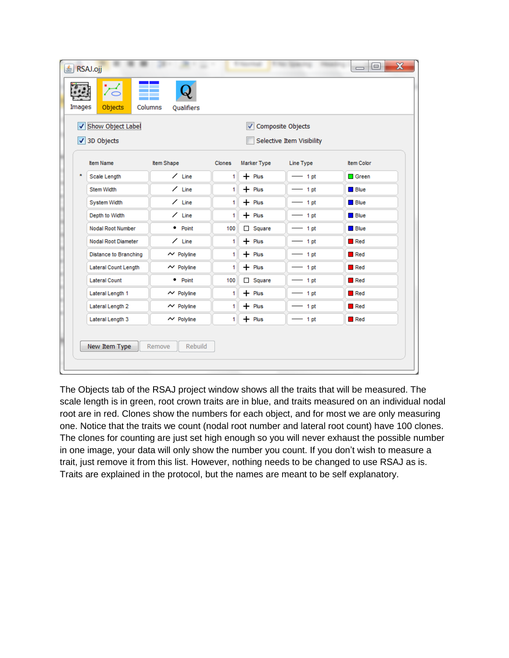| Show Object Label<br>Composite Objects<br>√ 3D Objects<br>Selective Item Visibility<br>Item Name<br>Item Shape<br>Item Color<br>Clones<br>Marker Type<br>Line Type<br>$\star$<br>$\angle$ Line<br>$+$ Plus<br>Scale Length<br>$-1$ pt<br>$\Box$ Green<br>1<br>$\angle$ Line<br>Stem Width<br>$+$ Plus<br>$\blacksquare$ Blue<br>1<br>$-1$ pt<br>$\angle$ Line<br>$+$ Plus<br>$\blacksquare$ Blue<br>System Width<br>1<br>$-1$ pt<br>$\angle$ Line<br>Depth to Width<br>$+$ Plus<br>$-1$ pt<br>$\blacksquare$ Blue<br>1<br>• Point<br>$\Box$ Square<br>Nodal Root Number<br>100<br>Bue<br>$-1$ pt<br>Nodal Root Diameter<br>$\angle$ Line<br>$+$ Plus<br>Red<br>1<br>$-1$ pt | Objects<br>Images     | Columns<br>Qualifiers |   |          |         |     |
|-----------------------------------------------------------------------------------------------------------------------------------------------------------------------------------------------------------------------------------------------------------------------------------------------------------------------------------------------------------------------------------------------------------------------------------------------------------------------------------------------------------------------------------------------------------------------------------------------------------------------------------------------------------------------------|-----------------------|-----------------------|---|----------|---------|-----|
|                                                                                                                                                                                                                                                                                                                                                                                                                                                                                                                                                                                                                                                                             |                       |                       |   |          |         |     |
|                                                                                                                                                                                                                                                                                                                                                                                                                                                                                                                                                                                                                                                                             |                       |                       |   |          |         |     |
|                                                                                                                                                                                                                                                                                                                                                                                                                                                                                                                                                                                                                                                                             |                       |                       |   |          |         |     |
|                                                                                                                                                                                                                                                                                                                                                                                                                                                                                                                                                                                                                                                                             |                       |                       |   |          |         |     |
|                                                                                                                                                                                                                                                                                                                                                                                                                                                                                                                                                                                                                                                                             |                       |                       |   |          |         |     |
|                                                                                                                                                                                                                                                                                                                                                                                                                                                                                                                                                                                                                                                                             |                       |                       |   |          |         |     |
|                                                                                                                                                                                                                                                                                                                                                                                                                                                                                                                                                                                                                                                                             |                       |                       |   |          |         |     |
|                                                                                                                                                                                                                                                                                                                                                                                                                                                                                                                                                                                                                                                                             |                       |                       |   |          |         |     |
|                                                                                                                                                                                                                                                                                                                                                                                                                                                                                                                                                                                                                                                                             |                       |                       |   |          |         |     |
|                                                                                                                                                                                                                                                                                                                                                                                                                                                                                                                                                                                                                                                                             | Distance to Branching | $\sim$ Polyline       | 1 | $+$ Plus | $-1$ pt | Red |
| $\sim$ Polyline<br>$+$ Plus<br>Red<br>Lateral Count Length<br>1<br>$-1$ pt                                                                                                                                                                                                                                                                                                                                                                                                                                                                                                                                                                                                  |                       |                       |   |          |         |     |
| • Point<br>100<br>$\Box$ Square<br>Red<br><b>Lateral Count</b><br>$-1$ pt                                                                                                                                                                                                                                                                                                                                                                                                                                                                                                                                                                                                   |                       |                       |   |          |         |     |
| $+$ Plus<br>Lateral Length 1<br>$\sim$ Polyline<br>$\blacksquare$ Red<br>1<br>$-1$ pt                                                                                                                                                                                                                                                                                                                                                                                                                                                                                                                                                                                       |                       |                       |   |          |         |     |
| Lateral Length 2<br>$\sim$ Polyline<br>$+$ Plus<br>$-1$ pt<br>$\blacksquare$ Red<br>1                                                                                                                                                                                                                                                                                                                                                                                                                                                                                                                                                                                       |                       |                       |   |          |         |     |
| $+$ Plus<br>Lateral Length 3<br>$\sim$ Polyline<br>1 <sup>1</sup><br>$-1$ pt<br>Red                                                                                                                                                                                                                                                                                                                                                                                                                                                                                                                                                                                         |                       |                       |   |          |         |     |

The Objects tab of the RSAJ project window shows all the traits that will be measured. The scale length is in green, root crown traits are in blue, and traits measured on an individual nodal root are in red. Clones show the numbers for each object, and for most we are only measuring one. Notice that the traits we count (nodal root number and lateral root count) have 100 clones. The clones for counting are just set high enough so you will never exhaust the possible number in one image, your data will only show the number you count. If you don't wish to measure a trait, just remove it from this list. However, nothing needs to be changed to use RSAJ as is. Traits are explained in the protocol, but the names are meant to be self explanatory.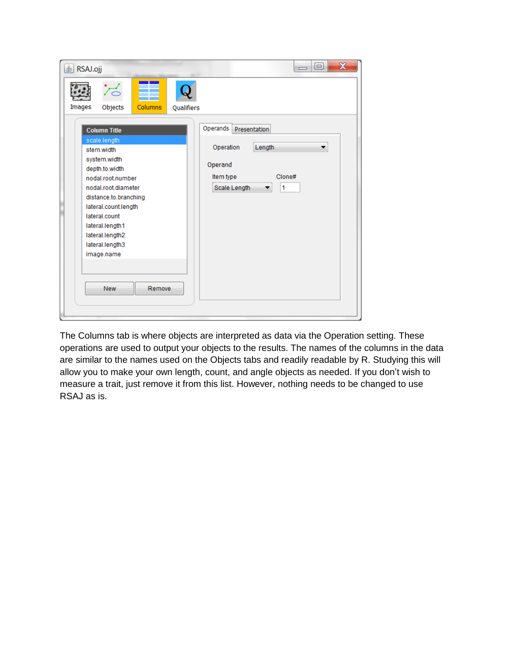| RSAJ.ojj<br>흑                                                                                                                                                                                                                                                                                                          | $\mathbf x$<br>回<br>$\overline{\phantom{0}}$                                                                                  |
|------------------------------------------------------------------------------------------------------------------------------------------------------------------------------------------------------------------------------------------------------------------------------------------------------------------------|-------------------------------------------------------------------------------------------------------------------------------|
| Columns<br>Images<br>Objects<br>Qualifiers<br><b>Column Title</b><br>scale.length<br>stem.width<br>system.width<br>depth.to.width<br>nodal root number<br>nodal.root.diameter<br>distance.to.branching<br>lateral.count.length<br>lateral.count<br>lateral.length1<br>lateral.length2<br>lateral.length3<br>image.name | Operands<br>Presentation<br>Length<br>Operation<br>▼<br>Operand<br>Item type<br>Clone#<br>Scale Length<br>$\overline{1}$<br>▼ |
| <b>New</b><br>Remove                                                                                                                                                                                                                                                                                                   |                                                                                                                               |

The Columns tab is where objects are interpreted as data via the Operation setting. These operations are used to output your objects to the results. The names of the columns in the data are similar to the names used on the Objects tabs and readily readable by R. Studying this will allow you to make your own length, count, and angle objects as needed. If you don't wish to measure a trait, just remove it from this list. However, nothing needs to be changed to use RSAJ as is.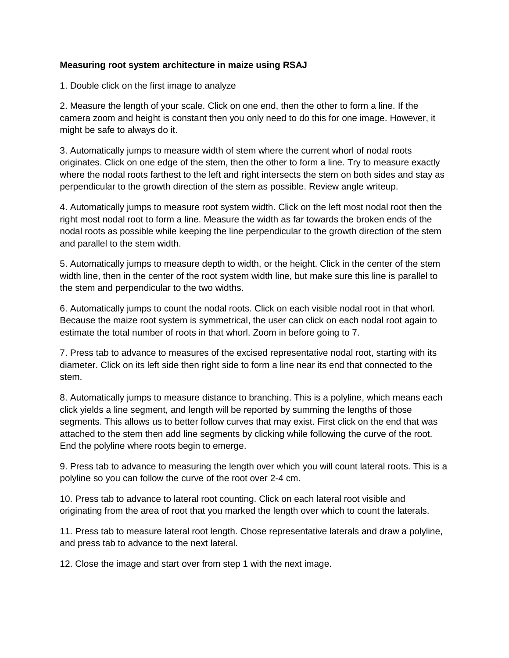## **Measuring root system architecture in maize using RSAJ**

1. Double click on the first image to analyze

2. Measure the length of your scale. Click on one end, then the other to form a line. If the camera zoom and height is constant then you only need to do this for one image. However, it might be safe to always do it.

3. Automatically jumps to measure width of stem where the current whorl of nodal roots originates. Click on one edge of the stem, then the other to form a line. Try to measure exactly where the nodal roots farthest to the left and right intersects the stem on both sides and stay as perpendicular to the growth direction of the stem as possible. Review angle writeup.

4. Automatically jumps to measure root system width. Click on the left most nodal root then the right most nodal root to form a line. Measure the width as far towards the broken ends of the nodal roots as possible while keeping the line perpendicular to the growth direction of the stem and parallel to the stem width.

5. Automatically jumps to measure depth to width, or the height. Click in the center of the stem width line, then in the center of the root system width line, but make sure this line is parallel to the stem and perpendicular to the two widths.

6. Automatically jumps to count the nodal roots. Click on each visible nodal root in that whorl. Because the maize root system is symmetrical, the user can click on each nodal root again to estimate the total number of roots in that whorl. Zoom in before going to 7.

7. Press tab to advance to measures of the excised representative nodal root, starting with its diameter. Click on its left side then right side to form a line near its end that connected to the stem.

8. Automatically jumps to measure distance to branching. This is a polyline, which means each click yields a line segment, and length will be reported by summing the lengths of those segments. This allows us to better follow curves that may exist. First click on the end that was attached to the stem then add line segments by clicking while following the curve of the root. End the polyline where roots begin to emerge.

9. Press tab to advance to measuring the length over which you will count lateral roots. This is a polyline so you can follow the curve of the root over 2-4 cm.

10. Press tab to advance to lateral root counting. Click on each lateral root visible and originating from the area of root that you marked the length over which to count the laterals.

11. Press tab to measure lateral root length. Chose representative laterals and draw a polyline, and press tab to advance to the next lateral.

12. Close the image and start over from step 1 with the next image.